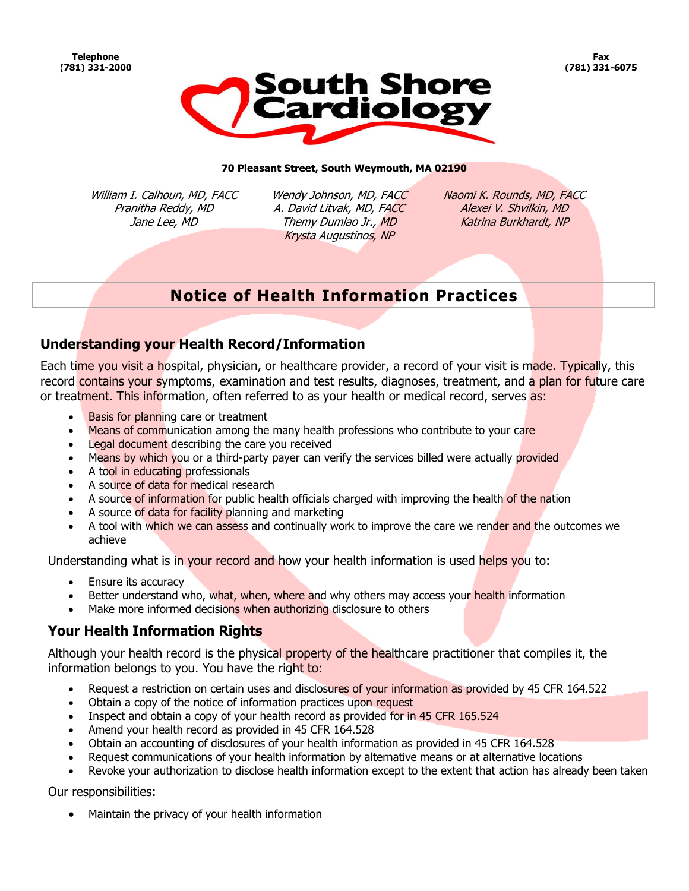

#### **70 Pleasant Street, South Weymouth, MA 02190**

William I. Calhoun, MD, FACC Pranitha Reddy, MD Jane Lee, MD

Wendy Johnson, MD, FACC A. David Litvak, MD, FACC Themy Dumlao Jr., MD Krysta Augustinos, NP

Naomi K. Rounds, MD, FACC Alexei V. Shvilkin, MD Katrina Burkhardt, NP

# **Notice of Health Information Practices**

#### **Understanding your Health Record/Information**

Each time you visit a hospital, physician, or healthcare provider, a record of your visit is made. Typically, this record contains your symptoms, examination and test results, diagnoses, treatment, and a plan for future care or treatment. This information, often referred to as your health or medical record, serves as:

- Basis for planning care or treatment
- Means of communication among the many health professions who contribute to your care
- Legal document describing the care you received
- Means by which you or a third-party payer can verify the services billed were actually provided
- A tool in educating professionals
- A source of data for medical research
- A source of information for public health officials charged with improving the health of the nation
- A source of data for facility planning and marketing
- A tool with which we can assess and continually work to improve the care we render and the outcomes we achieve

Understanding what is in your record and how your health information is used helps you to:

- Ensure its accuracy
- Better understand who, what, when, where and why others may access your health information
- Make more informed decisions when authorizing disclosure to others

#### **Your Health Information Rights**

Although your health record is the physical property of the healthcare practitioner that compiles it, the information belongs to you. You have the right to:

- Request a restriction on certain uses and disclosures of your information as provided by 45 CFR 164.522
- Obtain a copy of the notice of information practices upon request
- Inspect and obtain a copy of your health record as provided for in 45 CFR 165.524
- Amend your health record as provided in 45 CFR 164.528
- Obtain an accounting of disclosures of your health information as provided in 45 CFR 164.528
- Request communications of your health information by alternative means or at alternative locations
- Revoke your authorization to disclose health information except to the extent that action has already been taken

Our responsibilities:

Maintain the privacy of your health information